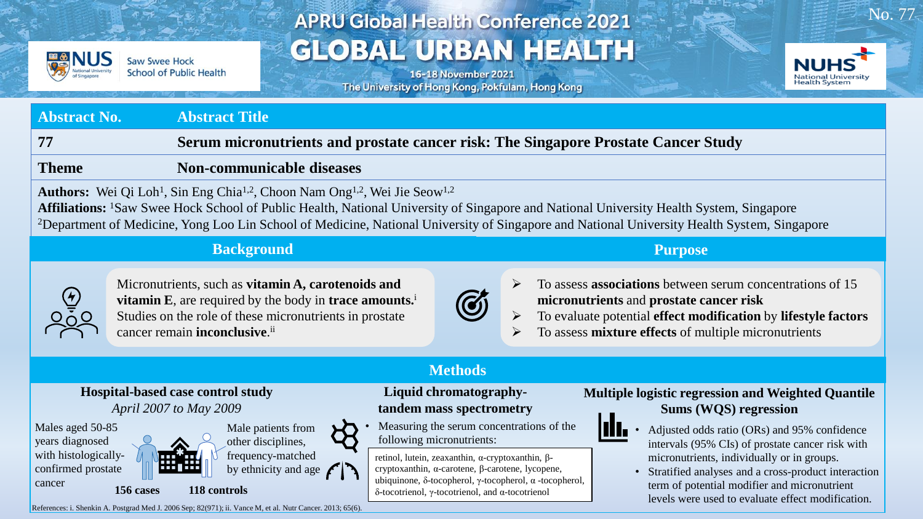

Saw Swee Hock **School of Public Health** 

# **APRU Global Health Conference 2021 GLOBAL URBAN HEALTH**

16-18 November 2021 The University of Hong Kong, Pokfulam, Hong Kong



No. 77

### **Abstract No. Abstract Title 77 Serum micronutrients and prostate cancer risk: The Singapore Prostate Cancer Study Theme Non-communicable diseases** Authors: Wei Qi Loh<sup>1</sup>, Sin Eng Chia<sup>1,2</sup>, Choon Nam Ong<sup>1,2</sup>, Wei Jie Seow<sup>1,2</sup> **Affiliations:** <sup>1</sup>Saw Swee Hock School of Public Health, National University of Singapore and National University Health System, Singapore <sup>2</sup>Department of Medicine, Yong Loo Lin School of Medicine, National University of Singapore and National University Health System, Singapore

#### **Background**



Micronutrients, such as **vitamin A, carotenoids and vitamin E**, are required by the body in **trace amounts.**<sup>i</sup> Studies on the role of these micronutrients in prostate cancer remain **inconclusive**. ii

**Purpose**



- ➢ To assess **associations** between serum concentrations of 15 **micronutrients** and **prostate cancer risk**
- ➢ To evaluate potential **effect modification** by **lifestyle factors**
- ➢ To assess **mixture effects** of multiple micronutrients

**Hospital-based case control study**  *April 2007 to May 2009*



Male patients from

other disciplines, frequency-matched by ethnicity and age  $\bigcap$ 

**156 cases 118 controls** 

**Methods**

**Liquid chromatographytandem mass spectrometry**

• Measuring the serum concentrations of the following micronutrients:

retinol, lutein, zeaxanthin, α-cryptoxanthin, βcryptoxanthin, α-carotene, β-carotene, lycopene, ubiquinone, δ-tocopherol, γ-tocopherol,  $α$ -tocopherol, δ-tocotrienol, γ-tocotrienol, and α-tocotrienol

**Multiple logistic regression and Weighted Quantile Sums (WQS) regression**



- Adjusted odds ratio (ORs) and 95% confidence intervals (95% CIs) of prostate cancer risk with micronutrients, individually or in groups.
- Stratified analyses and a cross-product interaction term of potential modifier and micronutrient levels were used to evaluate effect modification.

References: i. Shenkin A. Postgrad Med J. 2006 Sep; 82(971); ii. Vance M, et al. Nutr Cancer. 2013; 65(6).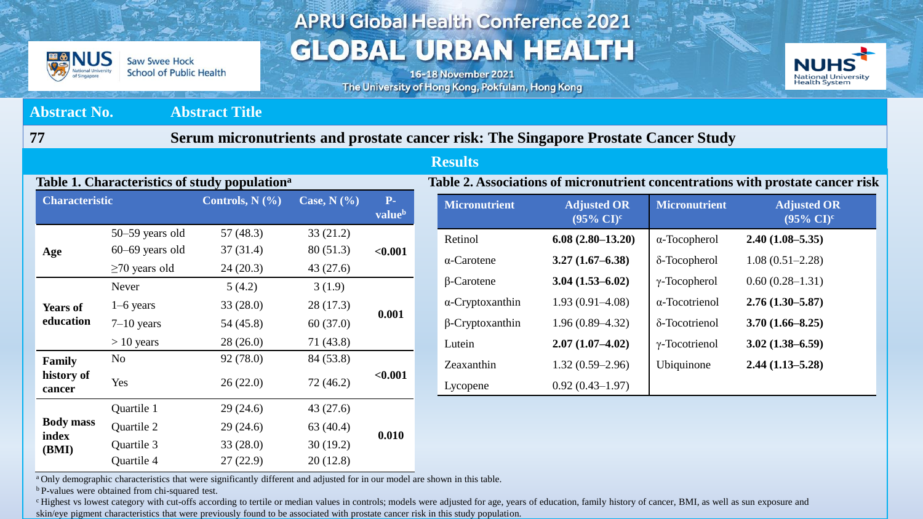

**Saw Swee Hock School of Public Health** 

### **APRU Global Health Conference 2021 GLOBAL URBAN HEALTH**

16-18 November 2021 The University of Hong Kong, Pokfulam, Hong Kong



#### **Abstract No. Abstract Title 77 Serum micronutrients and prostate cancer risk: The Singapore Prostate Cancer Study Results Table 2. Associations of micronutrient concentrations with prostate cancer risk Micronutrient Adjusted OR (95% CI)<sup>c</sup> Micronutrient Adjusted OR (95% CI)<sup>c</sup>** Retinol **6.08 (2.80–13.20)** α-Tocopherol **2.40 (1.08–5.35)**  α-Carotene **3.27 (1.67–6.38)** δ-Tocopherol 1.08 (0.51–2.28) β-Carotene **3.04 (1.53–6.02)** γ-Tocopherol 0.60 (0.28–1.31) α-Cryptoxanthin 1.93 (0.91–4.08) α-Tocotrienol **2.76 (1.30–5.87)**  β-Cryptoxanthin 1.96 (0.89–4.32) δ-Tocotrienol **3.70 (1.66–8.25)**  Lutein **2.07 (1.07–4.02)** γ-Tocotrienol **3.02 (1.38–6.59)**  Zeaxanthin 1.32 (0.59–2.96) Ubiquinone **2.44 (1.13–5.28)** Lycopene 0.92 (0.43–1.97) **Table 1. Characteristics of study population<sup>a</sup> Type Micronutrient Adjusted OR (95% CI)<sup>a</sup>** 50–59 years old 57 (48.3) 33 (21.2) 60–69 years old 37 (31.4) 80 (51.3) **<0.001**  $\geq$ 70 years old 24 (20.3) 43 (27.6) <u>carotecarote</u>n 24 (20.3) 43 (27.6) Never 5 (4.2) 3 (1.9)  $54(45.8)$  $28(17.3)$  $\overline{\phantom{a}}$ 28 (26.0) 71 (43.8)  $\mathbf{e}$ Yes Lutein **2.49 (1.25–4.98)**   $26(22.0)$  72 (46.2)  $29(24.6)$  43(27.6) **ass** Quartile 2 29 (24.6) 63 (40.4) **Characteristic Controls, N (%) Case, N (%) Pvalue<sup>b</sup> Age Years of education 0.001**  $1-6$  years  $33 (28.0)$ 7–10 years 54 (45.8) 60 (37.0)  $> 10$  years **Family history of cancer** No 92 (78.0) 84 (53.8) **Yes**  $26 (22.0)$   $72 (46.2)$   $\leq 0.001$ **Body mass index (BMI) Quartile 1 0.010** Quartile 3 33 (28.0) 30 (19.2) Quartile 4 27 (22.9) 20 (12.8)

<sup>a</sup> Only demographic characteristics that were significantly different and adjusted for in our model are shown in this table.

<sup>b</sup> P-values were obtained from chi-squared test.

<sup>c</sup> Highest vs lowest category with cut-offs according to tertile or median values in controls; models were adjusted for age, years of education, family history of cancer, BMI, as well as sun exposure and skin/eye pigment characteristics that were previously found to be associated with prostate cancer risk in this study population.